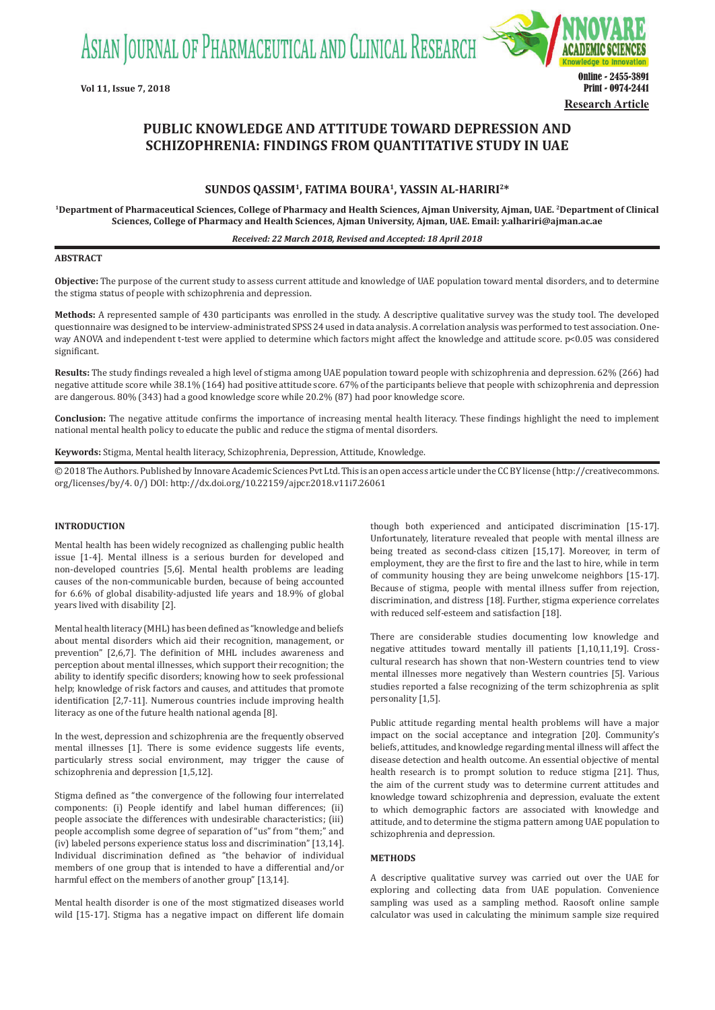ASIAN JOURNAL OF PHARMACEUTICAL AND CLINICAL RESEARCH



# **PUBLIC KNOWLEDGE AND ATTITUDE TOWARD DEPRESSION AND SCHIZOPHRENIA: FINDINGS FROM QUANTITATIVE STUDY IN UAE**

# **SUNDOS QASSIM1, FATIMA BOURA1, YASSIN AL-HARIRI2\***

**1Department of Pharmaceutical Sciences, College of Pharmacy and Health Sciences, Ajman University, Ajman, UAE. 2Department of Clinical Sciences, College of Pharmacy and Health Sciences, Ajman University, Ajman, UAE. Email: y.alhariri@ajman.ac.ae**

#### *Received: 22 March 2018, Revised and Accepted: 18 April 2018*

#### **ABSTRACT**

**Objective:** The purpose of the current study to assess current attitude and knowledge of UAE population toward mental disorders, and to determine the stigma status of people with schizophrenia and depression.

**Methods:** A represented sample of 430 participants was enrolled in the study. A descriptive qualitative survey was the study tool. The developed questionnaire was designed to be interview-administrated SPSS 24 used in data analysis. A correlation analysis was performed to test association. Oneway ANOVA and independent t-test were applied to determine which factors might affect the knowledge and attitude score. p<0.05 was considered significant.

**Results:** The study findings revealed a high level of stigma among UAE population toward people with schizophrenia and depression. 62% (266) had negative attitude score while 38.1% (164) had positive attitude score. 67% of the participants believe that people with schizophrenia and depression are dangerous. 80% (343) had a good knowledge score while 20.2% (87) had poor knowledge score.

**Conclusion:** The negative attitude confirms the importance of increasing mental health literacy. These findings highlight the need to implement national mental health policy to educate the public and reduce the stigma of mental disorders.

**Keywords:** Stigma, Mental health literacy, Schizophrenia, Depression, Attitude, Knowledge.

© 2018 The Authors. Published by Innovare Academic Sciences Pvt Ltd. This is an open access article under the CC BY license (http://creativecommons. org/licenses/by/4. 0/) DOI: http://dx.doi.org/10.22159/ajpcr.2018.v11i7.26061

## **INTRODUCTION**

Mental health has been widely recognized as challenging public health issue [1-4]. Mental illness is a serious burden for developed and non-developed countries [5,6]. Mental health problems are leading causes of the non-communicable burden, because of being accounted for 6.6% of global disability-adjusted life years and 18.9% of global years lived with disability [2].

Mental health literacy (MHL) has been defined as "knowledge and beliefs about mental disorders which aid their recognition, management, or prevention" [2,6,7]. The definition of MHL includes awareness and perception about mental illnesses, which support their recognition; the ability to identify specific disorders; knowing how to seek professional help; knowledge of risk factors and causes, and attitudes that promote identification [2,7-11]. Numerous countries include improving health literacy as one of the future health national agenda [8].

In the west, depression and schizophrenia are the frequently observed mental illnesses [1]. There is some evidence suggests life events, particularly stress social environment, may trigger the cause of schizophrenia and depression [1,5,12].

Stigma defined as "the convergence of the following four interrelated components: (i) People identify and label human differences; (ii) people associate the differences with undesirable characteristics; (iii) people accomplish some degree of separation of "us" from "them;" and (iv) labeled persons experience status loss and discrimination" [13,14]. Individual discrimination defined as "the behavior of individual members of one group that is intended to have a differential and/or harmful effect on the members of another group" [13,14].

Mental health disorder is one of the most stigmatized diseases world wild [15-17]. Stigma has a negative impact on different life domain though both experienced and anticipated discrimination [15-17]. Unfortunately, literature revealed that people with mental illness are being treated as second-class citizen [15,17]. Moreover, in term of employment, they are the first to fire and the last to hire, while in term of community housing they are being unwelcome neighbors [15-17]. Because of stigma, people with mental illness suffer from rejection, discrimination, and distress [18]. Further, stigma experience correlates with reduced self-esteem and satisfaction [18].

There are considerable studies documenting low knowledge and negative attitudes toward mentally ill patients [1,10,11,19]. Crosscultural research has shown that non-Western countries tend to view mental illnesses more negatively than Western countries [5]. Various studies reported a false recognizing of the term schizophrenia as split personality [1,5].

Public attitude regarding mental health problems will have a major impact on the social acceptance and integration [20]. Community's beliefs, attitudes, and knowledge regarding mental illness will affect the disease detection and health outcome. An essential objective of mental health research is to prompt solution to reduce stigma [21]. Thus, the aim of the current study was to determine current attitudes and knowledge toward schizophrenia and depression, evaluate the extent to which demographic factors are associated with knowledge and attitude, and to determine the stigma pattern among UAE population to schizophrenia and depression.

## **METHODS**

A descriptive qualitative survey was carried out over the UAE for exploring and collecting data from UAE population. Convenience sampling was used as a sampling method. Raosoft online sample calculator was used in calculating the minimum sample size required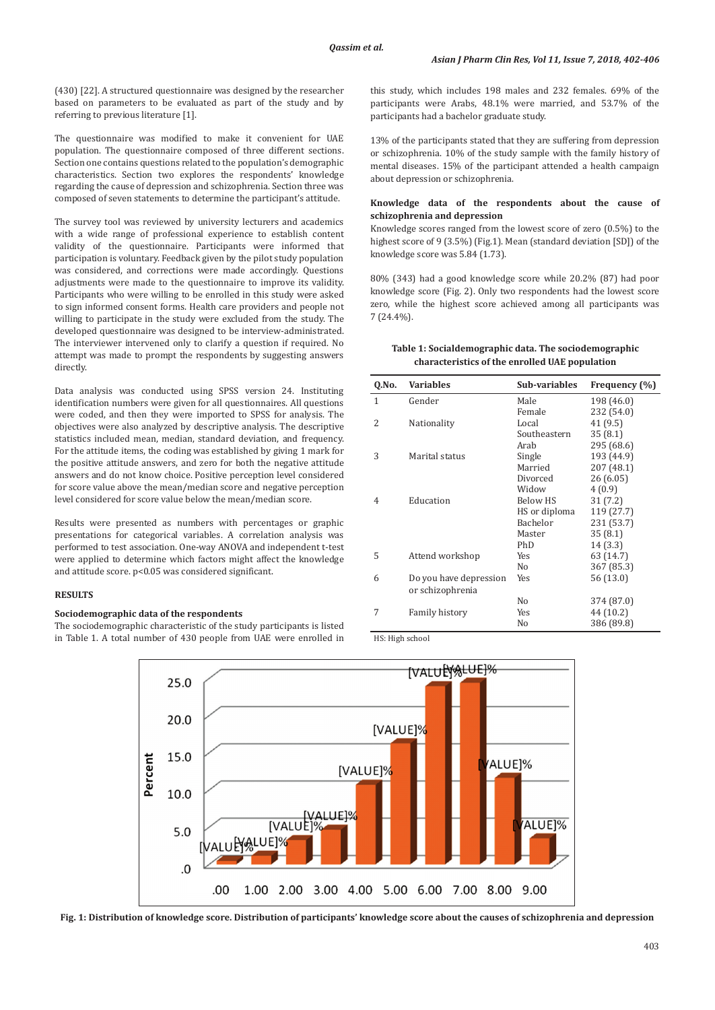(430) [22]. A structured questionnaire was designed by the researcher based on parameters to be evaluated as part of the study and by referring to previous literature [1].

The questionnaire was modified to make it convenient for UAE population. The questionnaire composed of three different sections. Section one contains questions related to the population's demographic characteristics. Section two explores the respondents' knowledge regarding the cause of depression and schizophrenia. Section three was composed of seven statements to determine the participant's attitude.

The survey tool was reviewed by university lecturers and academics with a wide range of professional experience to establish content validity of the questionnaire. Participants were informed that participation is voluntary. Feedback given by the pilot study population was considered, and corrections were made accordingly. Questions adjustments were made to the questionnaire to improve its validity. Participants who were willing to be enrolled in this study were asked to sign informed consent forms. Health care providers and people not willing to participate in the study were excluded from the study. The developed questionnaire was designed to be interview-administrated. The interviewer intervened only to clarify a question if required. No attempt was made to prompt the respondents by suggesting answers directly.

Data analysis was conducted using SPSS version 24. Instituting identification numbers were given for all questionnaires. All questions were coded, and then they were imported to SPSS for analysis. The objectives were also analyzed by descriptive analysis. The descriptive statistics included mean, median, standard deviation, and frequency. For the attitude items, the coding was established by giving 1 mark for the positive attitude answers, and zero for both the negative attitude answers and do not know choice. Positive perception level considered for score value above the mean/median score and negative perception level considered for score value below the mean/median score.

Results were presented as numbers with percentages or graphic presentations for categorical variables. A correlation analysis was performed to test association. One-way ANOVA and independent t-test were applied to determine which factors might affect the knowledge and attitude score. p<0.05 was considered significant.

#### **RESULTS**

## **Sociodemographic data of the respondents**

The sociodemographic characteristic of the study participants is listed in Table 1. A total number of 430 people from UAE were enrolled in this study, which includes 198 males and 232 females. 69% of the participants were Arabs, 48.1% were married, and 53.7% of the participants had a bachelor graduate study.

13% of the participants stated that they are suffering from depression or schizophrenia. 10% of the study sample with the family history of mental diseases. 15% of the participant attended a health campaign about depression or schizophrenia.

## **Knowledge data of the respondents about the cause of schizophrenia and depression**

Knowledge scores ranged from the lowest score of zero (0.5%) to the highest score of 9 (3.5%) (Fig.1). Mean (standard deviation [SD]) of the knowledge score was 5.84 (1.73).

80% (343) had a good knowledge score while 20.2% (87) had poor knowledge score (Fig. 2). Only two respondents had the lowest score zero, while the highest score achieved among all participants was 7 (24.4%).

**Table 1: Socialdemographic data. The sociodemographic characteristics of the enrolled UAE population**

| 0.No. | <b>Variables</b>       | Sub-variables | Frequency (%) |
|-------|------------------------|---------------|---------------|
| 1     | Gender                 | Male          | 198 (46.0)    |
|       |                        | Female        | 232 (54.0)    |
| 2     | Nationality            | Local         | 41 (9.5)      |
|       |                        | Southeastern  | 35(8.1)       |
|       |                        | Arab          | 295 (68.6)    |
| 3     | Marital status         | Single        | 193 (44.9)    |
|       |                        | Married       | 207 (48.1)    |
|       |                        | Divorced      | 26(6.05)      |
|       |                        | Widow         | 4(0.9)        |
| 4     | Education              | Below HS      | 31(7.2)       |
|       |                        | HS or diploma | 119 (27.7)    |
|       |                        | Bachelor      | 231 (53.7)    |
|       |                        | Master        | 35(8.1)       |
|       |                        | PhD           | 14(3.3)       |
| 5     | Attend workshop        | <b>Yes</b>    | 63 (14.7)     |
|       |                        | No            | 367 (85.3)    |
| 6     | Do you have depression | Yes           | 56 (13.0)     |
|       | or schizophrenia       |               |               |
|       |                        | No            | 374 (87.0)    |
| 7     | Family history         | Yes           | 44 (10.2)     |
|       |                        | No            | 386 (89.8)    |

HS: High school



**Fig. 1: Distribution of knowledge score. Distribution of participants' knowledge score about the causes of schizophrenia and depression**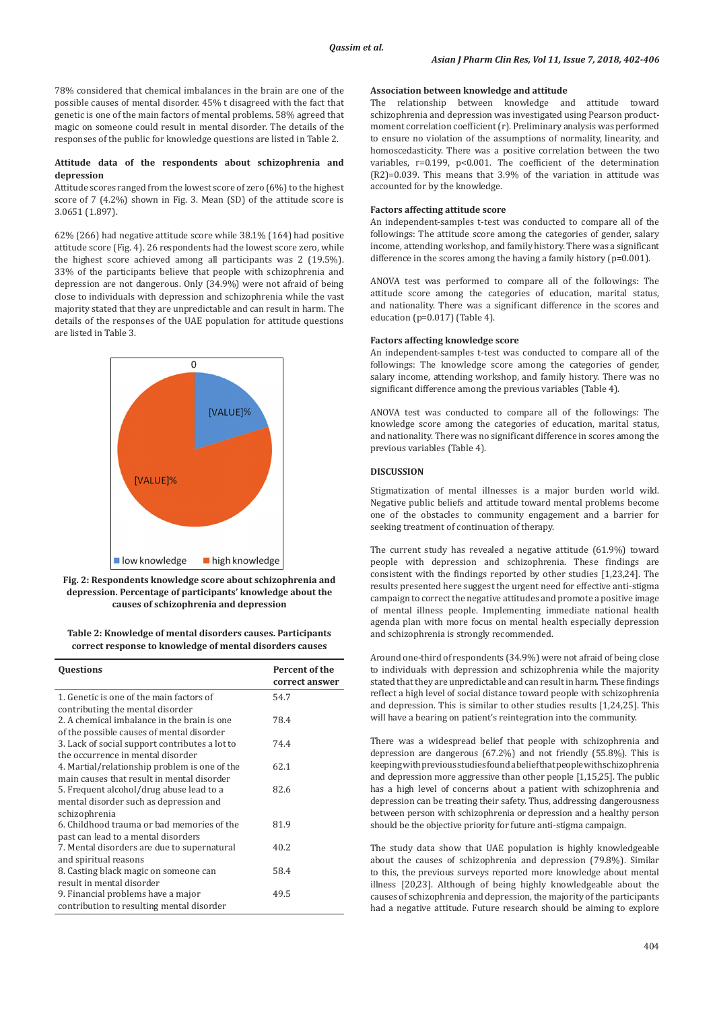78% considered that chemical imbalances in the brain are one of the possible causes of mental disorder. 45% t disagreed with the fact that genetic is one of the main factors of mental problems. 58% agreed that magic on someone could result in mental disorder. The details of the responses of the public for knowledge questions are listed in Table 2.

## **Attitude data of the respondents about schizophrenia and depression**

Attitude scores ranged from the lowest score of zero (6%) to the highest score of 7 (4.2%) shown in Fig. 3. Mean (SD) of the attitude score is 3.0651 (1.897).

62% (266) had negative attitude score while 38.1% (164) had positive attitude score (Fig. 4). 26 respondents had the lowest score zero, while the highest score achieved among all participants was 2 (19.5%). 33% of the participants believe that people with schizophrenia and depression are not dangerous. Only (34.9%) were not afraid of being close to individuals with depression and schizophrenia while the vast majority stated that they are unpredictable and can result in harm. The details of the responses of the UAE population for attitude questions are listed in Table 3.



**Fig. 2: Respondents knowledge score about schizophrenia and depression. Percentage of participants' knowledge about the causes of schizophrenia and depression**

**Table 2: Knowledge of mental disorders causes. Participants correct response to knowledge of mental disorders causes**

| <b>Questions</b>                               | Percent of the<br>correct answer |
|------------------------------------------------|----------------------------------|
| 1. Genetic is one of the main factors of       | 54.7                             |
| contributing the mental disorder               |                                  |
| 2. A chemical imbalance in the brain is one    | 78.4                             |
| of the possible causes of mental disorder      |                                  |
| 3. Lack of social support contributes a lot to | 74.4                             |
| the occurrence in mental disorder              |                                  |
| 4. Martial/relationship problem is one of the  | 62.1                             |
| main causes that result in mental disorder     |                                  |
| 5. Frequent alcohol/drug abuse lead to a       | 82.6                             |
| mental disorder such as depression and         |                                  |
| schizophrenia                                  |                                  |
| 6. Childhood trauma or bad memories of the     | 81.9                             |
| past can lead to a mental disorders            |                                  |
| 7. Mental disorders are due to supernatural    | 40.2                             |
| and spiritual reasons                          |                                  |
| 8. Casting black magic on someone can          | 58.4                             |
| result in mental disorder                      |                                  |
| 9. Financial problems have a major             | 49.5                             |
| contribution to resulting mental disorder      |                                  |

### **Association between knowledge and attitude**

The relationship between knowledge and attitude toward schizophrenia and depression was investigated using Pearson productmoment correlation coefficient (r). Preliminary analysis was performed to ensure no violation of the assumptions of normality, linearity, and homoscedasticity. There was a positive correlation between the two variables, r=0.199, p<0.001. The coefficient of the determination (R2)=0.039. This means that 3.9% of the variation in attitude was accounted for by the knowledge.

## **Factors affecting attitude score**

An independent-samples t-test was conducted to compare all of the followings: The attitude score among the categories of gender, salary income, attending workshop, and family history. There was a significant difference in the scores among the having a family history (p=0.001).

ANOVA test was performed to compare all of the followings: The attitude score among the categories of education, marital status, and nationality. There was a significant difference in the scores and education (p=0.017) (Table 4).

## **Factors affecting knowledge score**

An independent-samples t-test was conducted to compare all of the followings: The knowledge score among the categories of gender, salary income, attending workshop, and family history. There was no significant difference among the previous variables (Table 4).

ANOVA test was conducted to compare all of the followings: The knowledge score among the categories of education, marital status, and nationality. There was no significant difference in scores among the previous variables (Table 4).

## **DISCUSSION**

Stigmatization of mental illnesses is a major burden world wild. Negative public beliefs and attitude toward mental problems become one of the obstacles to community engagement and a barrier for seeking treatment of continuation of therapy.

The current study has revealed a negative attitude (61.9%) toward people with depression and schizophrenia. These findings are consistent with the findings reported by other studies [1,23,24]. The results presented here suggest the urgent need for effective anti-stigma campaign to correct the negative attitudes and promote a positive image of mental illness people. Implementing immediate national health agenda plan with more focus on mental health especially depression and schizophrenia is strongly recommended.

Around one-third of respondents (34.9%) were not afraid of being close to individuals with depression and schizophrenia while the majority stated that they are unpredictable and can result in harm. These findings reflect a high level of social distance toward people with schizophrenia and depression. This is similar to other studies results [1,24,25]. This will have a bearing on patient's reintegration into the community.

There was a widespread belief that people with schizophrenia and depression are dangerous (67.2%) and not friendly (55.8%). This is keeping with previous studies found a belief that people with schizophrenia and depression more aggressive than other people [1,15,25]. The public has a high level of concerns about a patient with schizophrenia and depression can be treating their safety. Thus, addressing dangerousness between person with schizophrenia or depression and a healthy person should be the objective priority for future anti-stigma campaign.

The study data show that UAE population is highly knowledgeable about the causes of schizophrenia and depression (79.8%). Similar to this, the previous surveys reported more knowledge about mental illness [20,23]. Although of being highly knowledgeable about the causes of schizophrenia and depression, the majority of the participants had a negative attitude. Future research should be aiming to explore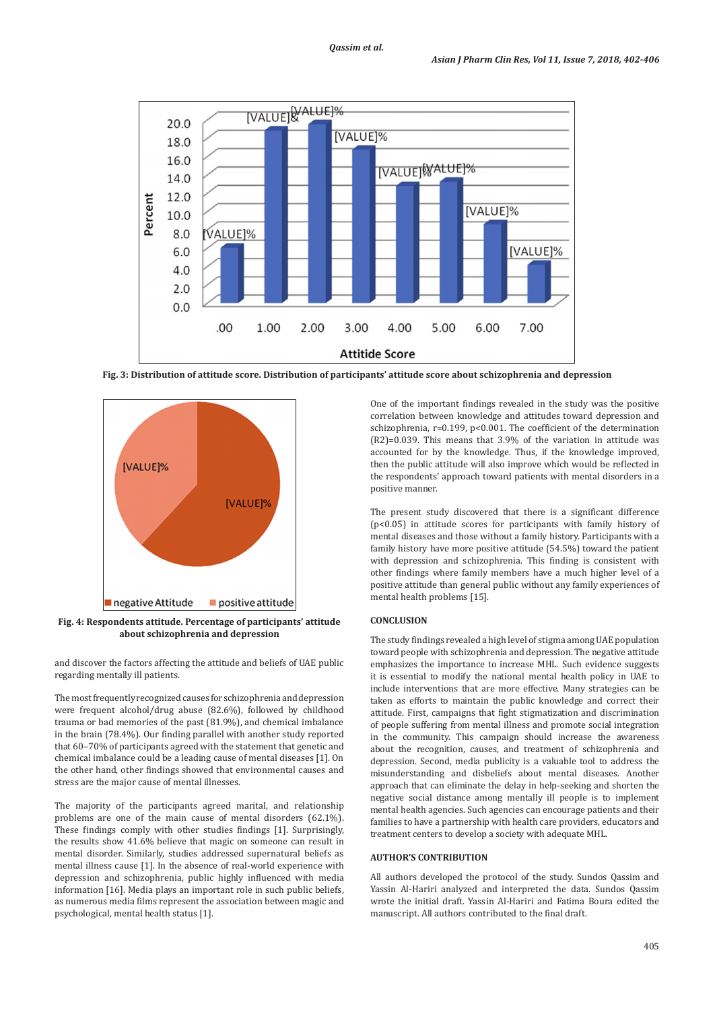

**Fig. 3: Distribution of attitude score. Distribution of participants' attitude score about schizophrenia and depression**



**Fig. 4: Respondents attitude. Percentage of participants' attitude about schizophrenia and depression**

and discover the factors affecting the attitude and beliefs of UAE public regarding mentally ill patients.

The most frequently recognized causes for schizophrenia and depression were frequent alcohol/drug abuse (82.6%), followed by childhood trauma or bad memories of the past (81.9%), and chemical imbalance in the brain (78.4%). Our finding parallel with another study reported that 60–70% of participants agreed with the statement that genetic and chemical imbalance could be a leading cause of mental diseases [1]. On the other hand, other findings showed that environmental causes and stress are the major cause of mental illnesses.

The majority of the participants agreed marital, and relationship problems are one of the main cause of mental disorders (62.1%). These findings comply with other studies findings [1]. Surprisingly, the results show 41.6% believe that magic on someone can result in mental disorder. Similarly, studies addressed supernatural beliefs as mental illness cause [1]. In the absence of real-world experience with depression and schizophrenia, public highly influenced with media information [16]. Media plays an important role in such public beliefs, as numerous media films represent the association between magic and psychological, mental health status [1].

One of the important findings revealed in the study was the positive correlation between knowledge and attitudes toward depression and schizophrenia, r=0.199, p<0.001. The coefficient of the determination (R2)=0.039. This means that 3.9% of the variation in attitude was accounted for by the knowledge. Thus, if the knowledge improved, then the public attitude will also improve which would be reflected in the respondents' approach toward patients with mental disorders in a positive manner.

The present study discovered that there is a significant difference (p<0.05) in attitude scores for participants with family history of mental diseases and those without a family history. Participants with a family history have more positive attitude (54.5%) toward the patient with depression and schizophrenia. This finding is consistent with other findings where family members have a much higher level of a positive attitude than general public without any family experiences of mental health problems [15].

#### **CONCLUSION**

The study findings revealed a high level of stigma among UAE population toward people with schizophrenia and depression. The negative attitude emphasizes the importance to increase MHL. Such evidence suggests it is essential to modify the national mental health policy in UAE to include interventions that are more effective. Many strategies can be taken as efforts to maintain the public knowledge and correct their attitude. First, campaigns that fight stigmatization and discrimination of people suffering from mental illness and promote social integration in the community. This campaign should increase the awareness about the recognition, causes, and treatment of schizophrenia and depression. Second, media publicity is a valuable tool to address the misunderstanding and disbeliefs about mental diseases. Another approach that can eliminate the delay in help-seeking and shorten the negative social distance among mentally ill people is to implement mental health agencies. Such agencies can encourage patients and their families to have a partnership with health care providers, educators and treatment centers to develop a society with adequate MHL.

## **AUTHOR'S CONTRIBUTION**

All authors developed the protocol of the study. Sundos Qassim and Yassin Al-Hariri analyzed and interpreted the data. Sundos Qassim wrote the initial draft. Yassin Al-Hariri and Fatima Boura edited the manuscript. All authors contributed to the final draft.